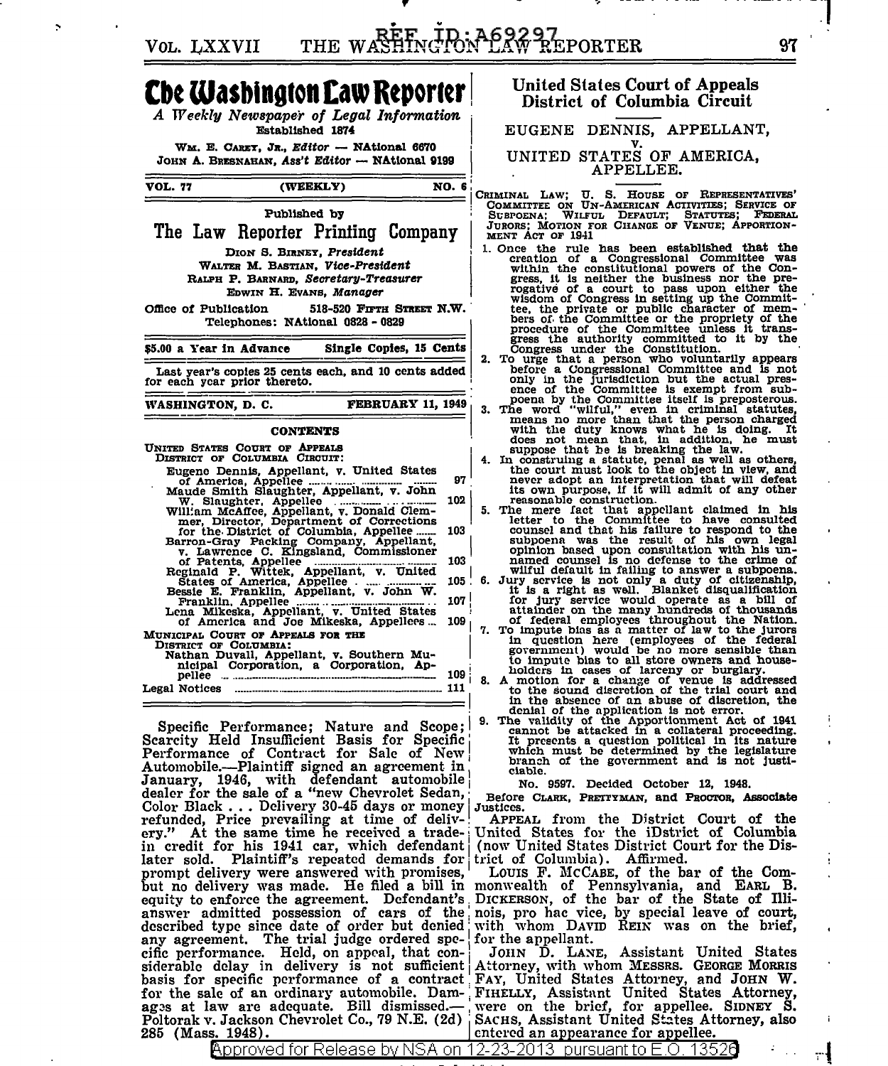THE WASHINGTON LAW REPORTER VOL. LXXVII

## **Che Washington Law Reporter**

A Weekly Newspaper of Legal Information Established 1874

WM. E. CARET, JR., Editor - NAtional 6670 JOHN A. BRESNAHAN, Ass't Editor - NAtional 9199

| VOL. 77                                                                              | (WEEKLY)                                                                                                                                                                                                                                                                                                                                                                                                                                                                                                                                                                                                                         | NO. 6                                        |  |
|--------------------------------------------------------------------------------------|----------------------------------------------------------------------------------------------------------------------------------------------------------------------------------------------------------------------------------------------------------------------------------------------------------------------------------------------------------------------------------------------------------------------------------------------------------------------------------------------------------------------------------------------------------------------------------------------------------------------------------|----------------------------------------------|--|
| Office of Publication                                                                | Published by<br>The Law Reporter Printing Company<br>DION S. BIRNEY, President<br>WALTER M. BASTIAN. Vice-President<br>RALPH P. BARNARD. Secretary-Treasurer<br>EDWIN H. EVANS. Manager                                                                                                                                                                                                                                                                                                                                                                                                                                          | 518-520 FIFTH STREET N.W.                    |  |
| Telephones: NAtional 0828 - 0829<br>\$5.00 a Year in Advance Single Copies, 15 Cents |                                                                                                                                                                                                                                                                                                                                                                                                                                                                                                                                                                                                                                  |                                              |  |
| Last year's copies 25 cents each, and 10 cents added<br>for each year prior thereto. |                                                                                                                                                                                                                                                                                                                                                                                                                                                                                                                                                                                                                                  |                                              |  |
| WASHINGTON, D. C.                                                                    |                                                                                                                                                                                                                                                                                                                                                                                                                                                                                                                                                                                                                                  | <b>FEBRUARY 11, 1949</b>                     |  |
| <b>CONTENTS</b>                                                                      |                                                                                                                                                                                                                                                                                                                                                                                                                                                                                                                                                                                                                                  |                                              |  |
|                                                                                      | UNITED STATES COURT OF APPEALS<br>DISTRICT OF COLUMBIA CIRCUIT:<br>Eugene Dennis, Appellant, v. United States<br>W. Slaughter, Appellee William McAffee, Appellant, v. Donald Clem-<br>mer, Director, Department of Corrections<br>for the District of Columbia, Appellee<br>Formulation of Packing Company, Appellant,<br>v. Lawrence C. Kingsland, Commissioner<br>of Patents, Appellee<br>Reginald P. Wittek, Appellant, v. United<br>States of America, Appellee<br>Bessie E. Franklin, Appellant, v. John W.<br>Be<br>Franklin, Appellee<br>Lena Mikeska, Appellant, v. United States of America and Joe Mikeska, Appellees | 97<br>102<br>103<br>103<br>105<br>107<br>109 |  |
| DISTRICT OF COLUMBIA:<br>pellee<br>Legal Notices                                     | MUNICIPAL COURT OF APPEALS FOR THE<br>Nathan Duvall, Appellant, v. Southern Mu-<br>nicipal Corporation, a Corporation, Ap-                                                                                                                                                                                                                                                                                                                                                                                                                                                                                                       | 109<br>111                                   |  |

Specific Performance; Nature and Scope; Scarcity Held Insufficient Basis for Specific<br>Performance of Contract for Sale of New<br>Automobile.---Plaintiff signed an agreement in January, 1946, with defendant automobile<br>dealer for the sale of a "new Chevrolet Sedan, Color Black . . . Delivery 30-45 days or money refunded, Price prevailing at time of deliv-<br>ery." At the same time he received a tradein credit for his 1941 car, which defendant later sold. Plaintiff's repeated demands for trict of Columbia). Affirmed.<br>prompt delivery were answered with promises, LOUIS F. MCCABE, of the bar of the Combut no delivery was made. He filed a bill in monwealth of Pennsylvania, and EARL B. equity to enforce the agreement. Defendant's DICKERSON, of the bar of the State of Illianswer admitted possession of cars of the nois, pro hac vice, by special leave of court, described type since date of order but denied any agreement. The trial judge ordered specific performance. Held, on appeal, that con-<br>siderable delay in delivery is not sufficient<br>basis for specific performance of a contract for the sale of an ordinary automobile. Dam- FIHELLY, Assistant United States Attorney, ages at law are adequate. Bill dismissed.-Poltorak v. Jackson Chevrolet Co., 79 N.E. (2d) 285 (Mass. 1948).

Approved for Release by NSA onl

## **United States Court of Appeals** District of Columbia Circuit

EUGENE DENNIS, APPELLANT. UNITED STATES OF AMERICA, APPELLEE.

CRIMINAL LAW; U. S. HOUSE OF REPRESENTATIVES'<br>COMMITTEE ON UN-AMERICAN ACTIVITIES; SERVICE OF<br>SUBPOENA; WILFUL DEFAULT; STATUTES; FEDERAL<br>JURORS; MOTION FOR CHANGE OF VENUE; APPORTION-MENT ACT OF 1941

- 1. Once the rule has been established that the creation of a Congressional Committee was within the constitutional powers of the Conwithin the constitutional powers of the Con-<br>gress, it is neither the business nor the pre-<br>rogative of a court to pass upon either the<br>wisdom of Congress in setting up the Commit-<br>tee, the private or public character of m
	-
	-
- before a Congressional Committee and is not<br>only in the jurisdiction but the actual pres-<br>ence of the Committee is exempt from sub-<br>poena by the Committee itself is preposterous.<br>3. The word "wilful," even in criminal stat
- never adopt an interpretation that will defeat<br>its own purpose, if it will defined in his<br>reasonable construction.<br>5. The mere fact that appellant claimed in his<br>letter to the Committee to have consulted<br>counsel and that h
- 
- 
- 
- ciable.

No. 9597. Decided October 12, 1948.

Before CLARK, PRETTYMAN, and PROCTOR, Associate Justices.

APPEAL from the District Court of the United States for the iDstrict of Columbia (now United States District Court for the Dis-

with whom DAVID REIN was on the brief, for the appellant.

JOHN D. LANE, Assistant United States<br>Attorney, with whom MESSRS. GEORGE MORRIS FAY, United States Attorney, and JOHN W. were on the brief, for appellee. SIDNEY S. SACHS, Assistant United States Attorney, also entered an appearance for appellee.

- 1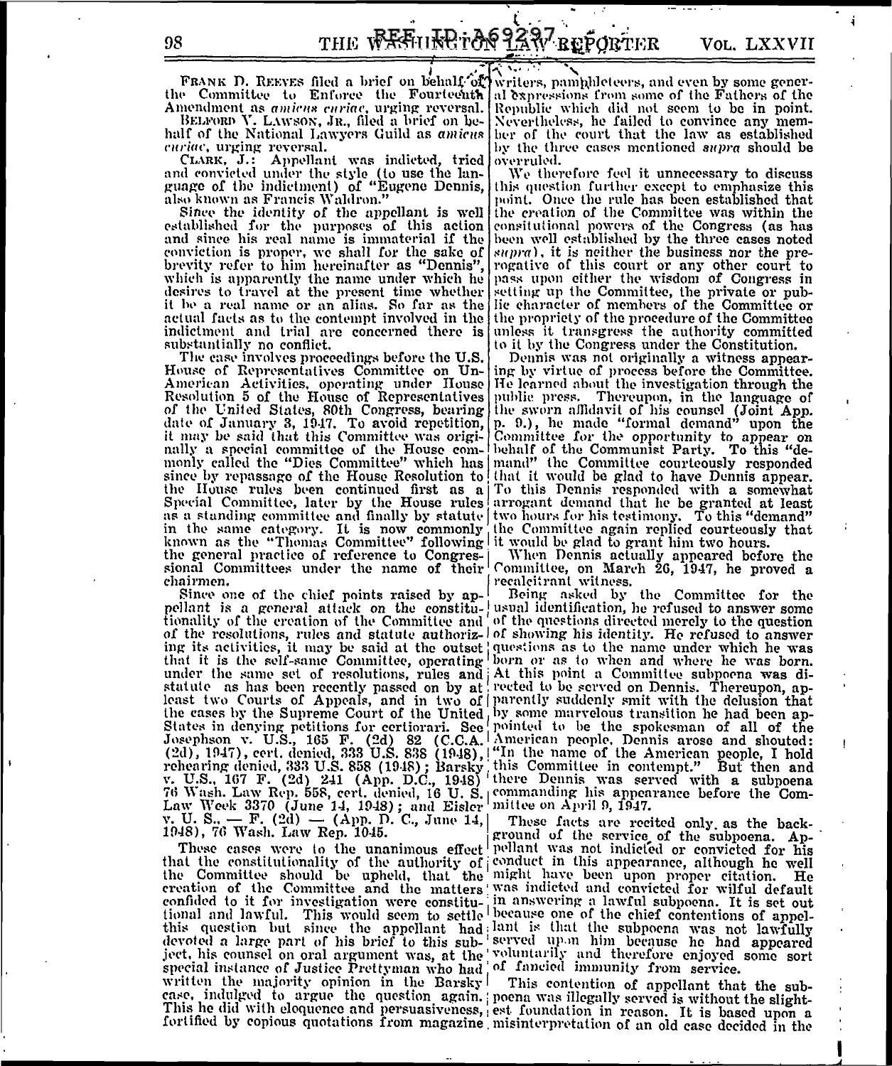ă

FRANK D. REEVES filed a brief on behalf of writers, pamphleteers, and even by some generthe Committee to Enforce the Fourteenth al expressions from some of the Fathers of the Amendment as amicus curiae, urging reversal.

BELFORD V. LAWSON, JR., filed a brief on behalf of the National Lawyers Guild as amicus curiac, urging reversal.

CLARK, J.: Appellant was indicted, tried and convicted under the style (to use the language of the indictment) of "Eugene Dennis, also known as Francis Waldron."

Since the identity of the appellant is well established for the purposes of this action and since his real name is immaterial if the been well established by the three cases noted conviction is proper, we shall for the sake of  $|supra|$ , it is neither the business nor the prebrevity refer to him hereinafter as "Dennis", regative of this court or any other court to which is apparently the name under which he pass upon either the wisdom of Congress in desires to travel at the present time whether estting up the Committee, the private or pub-<br>it be a real name or an alias. So far as the life character of members of the Committee or<br>actual facts as to the contempt involve indictment and trial are concerned there is unless it transgress the authority committed substantially no conflict.

The case involves proceedings before the U.S. House of Representatives Committee on Un-American Activities, operating under House<br>Resolution 5 of the House of Representatives Resolution 5 of the House of Representatives public press. Thereupon, in the language of<br>of the United States, 80th Congress, bearing the sworn affidavit of his counsel (Joint App.<br>date of January 3, 1947. To avoid repetit it may be said that this Committee was origi- Committee for the opportunity to appear on It may be said that this Committee was origi-<br>[Committee for the opportunity to appear on<br>nally a special committee of the House com-<br>behalf of the Communist Party. To this "de-<br>nonly called the "Dies Committee" which has the general practice of reference to Congres-<br>in When Dennis actually appeared before the<br>sional Committees under the name of their<br>committee, on March 26, 1947, he proved a<br>chairmen.

Since one of the chief points raised by appellant is a general attack on the constitu- usual identification, he refused to answer some tionality of the creation of the Committee and of the questions directed merely to the question<br>of the resolutions, rules and statute and of the questions directed merely to the question<br>img its activities, it may be said tionality of the creation of the Committee and of the questions directed merely to the question 1948), 76 Wash. Law Rep. 1045.

These cases were to the unanimous eneer permant was not indicted or convicted for his<br>that the constitutionality of the authority of conduct in this appearance, although he well<br>the Committee should be upheld, that the mig this question but since the appellant had lant is that the subpoena was not lawfully<br>devoted a large part of his brief to this sub-'served upon him because he had appeared<br>ject, his counsel on oral argument was, at the 'vo written the majority opinion in the Barsky<sup>|</sup> This contention of appellant that the subcase, indulged to argue the question again. poena was illegally served is without the slight-This he did with eloquence and persuasiveness, est foundation in reason. It is based upon a

Republic which did not seem to be in point. Nevertheless, he failed to convince any member of the court that the law as established by the three cases mentioned *supra* should be overruled.

We therefore feel it unnecessary to discuss this question further except to emphasize this point. Once the rule has been established that the creation of the Committee was within the consitutional powers of the Congress (as has to it by the Congress under the Constitution.

Dennis was not originally a witness appearing by virtue of process before the Committee.<br>He learned about the investigation through the

Being asked by the Committee for the

ground of the service of the subpoena. Ap-These cases were to the unanimous effect pellant was not indicted or convicted for his

fortified by copious quotations from magazine misinterpretation of an old case decided in the

98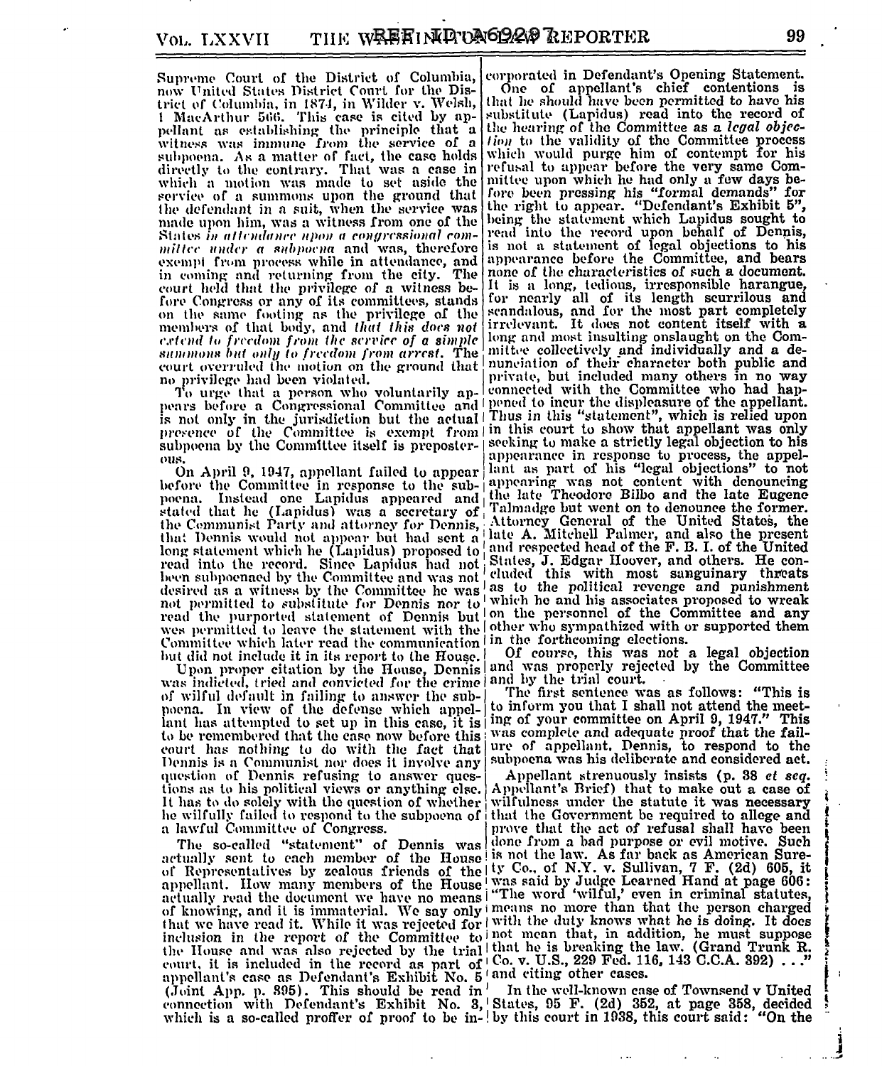Supreme Court of the District of Columbia, now United States District Court for the District of Columbia, in 1874, in Wilder v. Welsh, 1 MacArthur 566. This case is cited by appellant as establishing the principle that a witness was immune from the service of a subpoena. As a matter of fact, the case holds which would purge him of contempt for his directly to the contrary. That was a case in refusal to appear before the very same Comwhich a motion was made to set aside the mittee upon which he had only a few days be-<br>service of a summons upon the ground that fore been pressing his "formal demands" for<br>the defendant in a suit, when the service was the made upon him, was a witness from one of the States in attendance upon a congressional commilice under a subpoena and was, therefore exempt from process while in attendance, and in coming and returning from the city. The court held that the privilege of a witness before Congress or any of its committees, stands on the same footing as the privilege of the members of that body, and that this does not extend to freedom from the service of a simple long and most insulting onslaught on the Comsummons but only to freedom from arrest. The miltee collectively and individually and a decourt overruled the motion on the ground that munciplies of their character both public and<br>no privilege had been violated. no privilege had been violated.

is not only in the jurisdiction but the actual | Thus in this "statement", which is relied upon<br>presence of the Committee is exempt from | in this court to show that appellant was only subpoena by the Committee itself is preposter- seeking to make a strictly legal objection to his ous.

before the Committee in response to the sub-<br>|if the late Theodore Bilbo and the late Eugene<br>peena. Instead one Lapidus appeared and  $|\cdot|$  and the late Eugene<br>stated that he (Lapidus) was a secretary of  $|\cdot|$  almadge but wes permitted to leave the statement with the other who sympathized with or supported them Committee which later read the communication in the forthcoming elections. but did not include it in its report to the House.

Upon proper citation by the House, Dennis! was indicted, tried and convicted for the crime and by the trial court. of wilful default in failing to answer the subpoena. In view of the defense which appellant has attempted to set up in this case, it is ing of your committee on April 9, 1947." This to be remembered that the case now before this was complete and adequate proof that the fail-<br>court has nothing to do with the fact that ure of appellant. Dennis, to respond to the Dennis is a Communist nor does it involve any question of Dennis refusing to answer questions as to his political views or anything else. It has to do solely with the question of whether wilfulness under the statute it was necessary he wilfully failed to respond to the subpoena of that the Government be required to allege and a lawful Committee of Congress.

The so-cancel statement of the House is not the law. As far back as American Sure-<br>of Representatives by zealous friends of the lty Co., of N.Y. v Sullivan, 7 F. (2d) 605, it<br>appellant. How many members of the House was sa actually read the uocument we have no means! The word whild, even in criminal statutes,<br>of knowing, and it is immaterial. We say only means no more than that the person charged<br>that we have read it. While it was rejected (Joint App. p. 395). This should be read in

corporated in Defendant's Opening Statement. One of appellant's chief contentions is that he should have been permitted to have his substitute (Lapidus) read into the record of the hearing of the Committee as a legal objection to the validity of the Committee process being the statement which Lapidus sought to read into the record upon behalf of Dennis, is not a statement of legal objections to his appearance before the Committee, and bears none of the characteristics of such a document. It is a long, tedious, irresponsible harangue,<br>for nearly all of its length scurrilous and<br>scandalous, and for the most part completely irrelevant. It does not content itself with a To urge that a person who voluntarily ap- connected with the Committee who had hap-<br>pears before a Congressional Committee and pened to incur the displeasure of the appellant. appearance in response to process, the appelous.<br>On April 9, 1947, appellant failed to appear and as part of his "legal objections" to not<br>before the Committee in response to the sub-<br>poena. Instead one Lapidus appeared and the late Theodore Bilbo and the late Eugen

> Of course, this was not a legal objection and was properly rejected by the Committee

> The first sentence was as follows: "This is to inform you that I shall not attend the meetsubpoena was his deliberate and considered act.

Appellant strenuously insists (p. 38 et seq.<br>Appellant's Brief) that to make out a case of prove that the act of refusal shall have been The so-called "statement" of Dennis was done from a bad purpose or evil motive. Such

In the well-known case of Townsend v United connection with Defendant's Exhibit No. 3, States, 95 F. (2d) 352, at page 358, decided<br>which is a so-called proffer of proof to be in- by this court in 1938, this court said: "On the